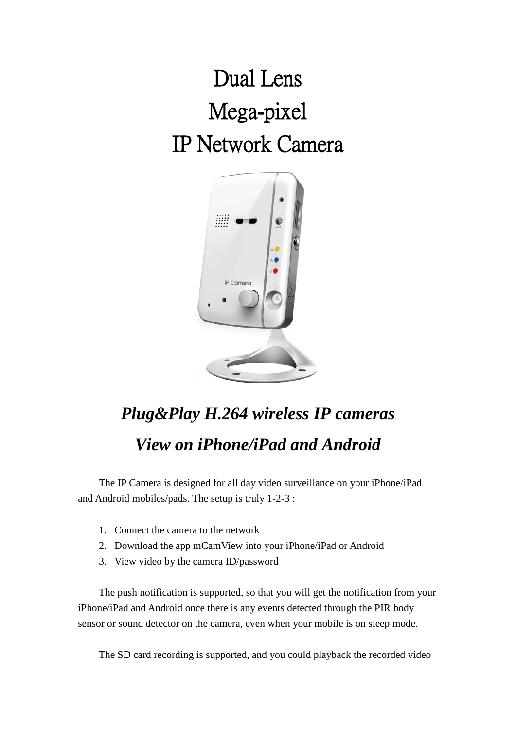## Dual Lens Mega-pixel IP Network Camera



## *Plug&Play H.264 wireless IP cameras View on iPhone/iPad and Android*

The IP Camera is designed for all day video surveillance on your iPhone/iPad and Android mobiles/pads. The setup is truly 1-2-3 :

- 1. Connect the camera to the network
- 2. Download the app mCamView into your iPhone/iPad or Android
- 3. View video by the camera ID/password

The push notification is supported, so that you will get the notification from your iPhone/iPad and Android once there is any events detected through the PIR body sensor or sound detector on the camera, even when your mobile is on sleep mode.

The SD card recording is supported, and you could playback the recorded video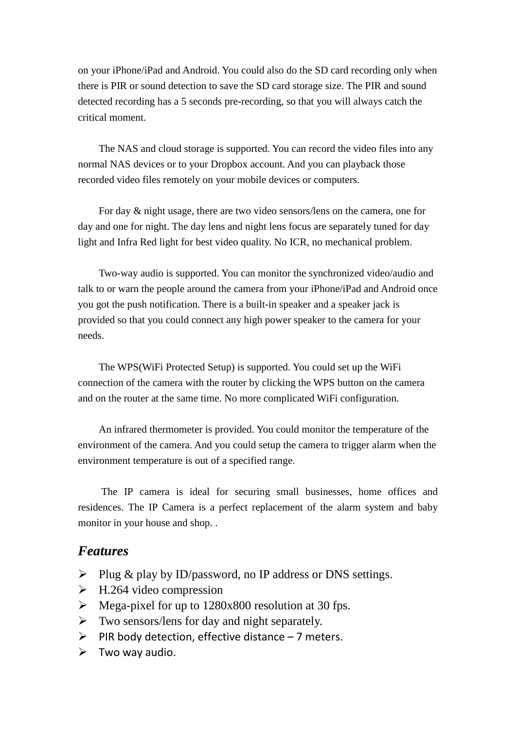on your iPhone/iPad and Android. You could also do the SD card recording only when there is PIR or sound detection to save the SD card storage size. The PIR and sound detected recording has a 5 seconds pre-recording, so that you will always catch the critical moment.

The NAS and cloud storage is supported. You can record the video files into any normal NAS devices or to your Dropbox account. And you can playback those recorded video files remotely on your mobile devices or computers.

For day & night usage, there are two video sensors/lens on the camera, one for day and one for night. The day lens and night lens focus are separately tuned for day light and Infra Red light for best video quality. No ICR, no mechanical problem.

Two-way audio is supported. You can monitor the synchronized video/audio and talk to or warn the people around the camera from your iPhone/iPad and Android once you got the push notification. There is a built-in speaker and a speaker jack is provided so that you could connect any high power speaker to the camera for your needs.

The WPS(WiFi Protected Setup) is supported. You could set up the WiFi connection of the camera with the router by clicking the WPS button on the camera and on the router at the same time. No more complicated WiFi configuration.

An infrared thermometer is provided. You could monitor the temperature of the environment of the camera. And you could setup the camera to trigger alarm when the environment temperature is out of a specified range.

The IP camera is ideal for securing small businesses, home offices and residences. The IP Camera is a perfect replacement of the alarm system and baby monitor in your house and shop. .

## *Features*

- $\triangleright$  Plug & play by ID/password, no IP address or DNS settings.
- $\triangleright$  H.264 video compression
- $\triangleright$  Mega-pixel for up to 1280x800 resolution at 30 fps.
- $\triangleright$  Two sensors/lens for day and night separately.
- $\triangleright$  PIR body detection, effective distance 7 meters.
- $\triangleright$  Two way audio.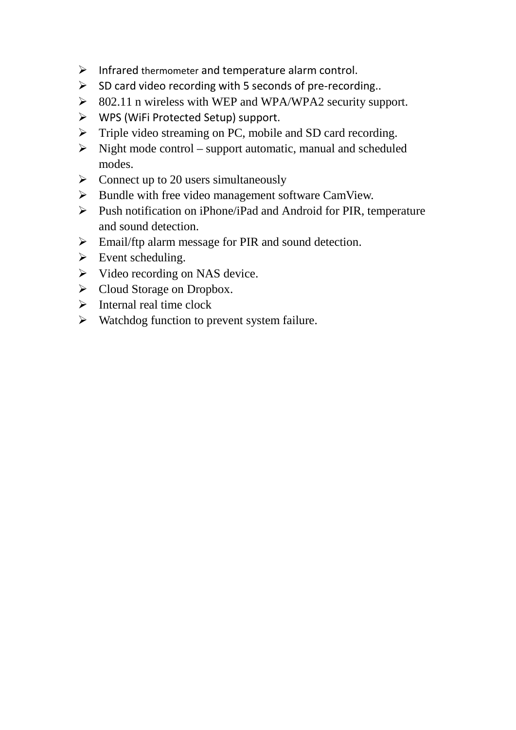- $\triangleright$  Infrared thermometer and temperature alarm control.
- $\triangleright$  SD card video recording with 5 seconds of pre-recording..
- $\geq$  802.11 n wireless with WEP and WPA/WPA2 security support.
- WPS (WiFi Protected Setup) support.
- $\triangleright$  Triple video streaming on PC, mobile and SD card recording.
- $\triangleright$  Night mode control support automatic, manual and scheduled modes.
- $\triangleright$  Connect up to 20 users simultaneously
- $\triangleright$  Bundle with free video management software CamView.
- $\triangleright$  Push notification on iPhone/iPad and Android for PIR, temperature and sound detection.
- $\triangleright$  Email/ftp alarm message for PIR and sound detection.
- $\triangleright$  Event scheduling.
- $\triangleright$  Video recording on NAS device.
- Cloud Storage on Dropbox.
- $\triangleright$  Internal real time clock
- $\triangleright$  Watchdog function to prevent system failure.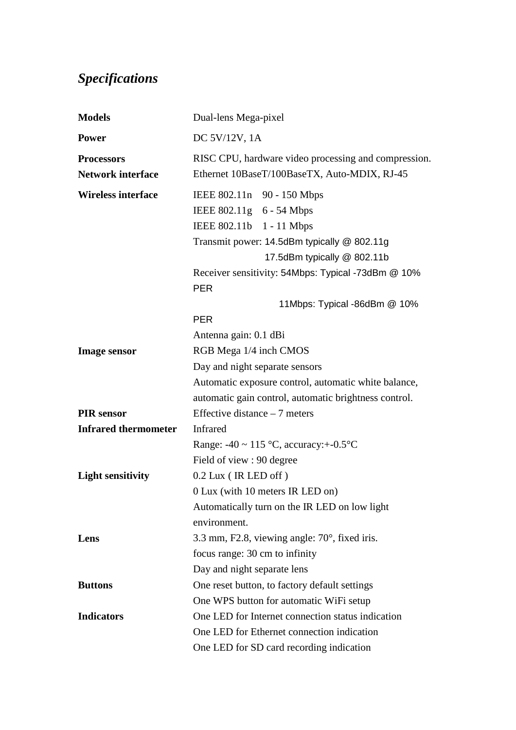## *Specifications*

| <b>Models</b>               | Dual-lens Mega-pixel                                             |
|-----------------------------|------------------------------------------------------------------|
| <b>Power</b>                | DC 5V/12V, 1A                                                    |
| <b>Processors</b>           | RISC CPU, hardware video processing and compression.             |
| <b>Network interface</b>    | Ethernet 10BaseT/100BaseTX, Auto-MDIX, RJ-45                     |
| <b>Wireless interface</b>   | IEEE 802.11n 90 - 150 Mbps                                       |
|                             | IEEE 802.11g 6 - 54 Mbps                                         |
|                             | IEEE 802.11b 1 - 11 Mbps                                         |
|                             | Transmit power: 14.5dBm typically @ 802.11g                      |
|                             | 17.5dBm typically @ 802.11b                                      |
|                             | Receiver sensitivity: 54Mbps: Typical -73dBm @ 10%<br><b>PER</b> |
|                             | 11Mbps: Typical -86dBm @ 10%                                     |
|                             | <b>PER</b>                                                       |
|                             | Antenna gain: 0.1 dBi                                            |
| <b>Image sensor</b>         | RGB Mega 1/4 inch CMOS                                           |
|                             | Day and night separate sensors                                   |
|                             | Automatic exposure control, automatic white balance,             |
|                             | automatic gain control, automatic brightness control.            |
| <b>PIR</b> sensor           | Effective distance $-7$ meters                                   |
| <b>Infrared thermometer</b> | <b>Infrared</b>                                                  |
|                             | Range: $-40 \sim 115$ °C, accuracy: $+$ -0.5°C                   |
|                             | Field of view : 90 degree                                        |
| <b>Light sensitivity</b>    | $0.2$ Lux (IR LED off)                                           |
|                             | 0 Lux (with 10 meters IR LED on)                                 |
|                             | Automatically turn on the IR LED on low light                    |
|                             | environment.                                                     |
| Lens                        | 3.3 mm, F2.8, viewing angle: $70^{\circ}$ , fixed iris.          |
|                             | focus range: 30 cm to infinity                                   |
|                             | Day and night separate lens                                      |
| <b>Buttons</b>              | One reset button, to factory default settings                    |
|                             | One WPS button for automatic WiFi setup                          |
| <b>Indicators</b>           | One LED for Internet connection status indication                |
|                             | One LED for Ethernet connection indication                       |
|                             | One LED for SD card recording indication                         |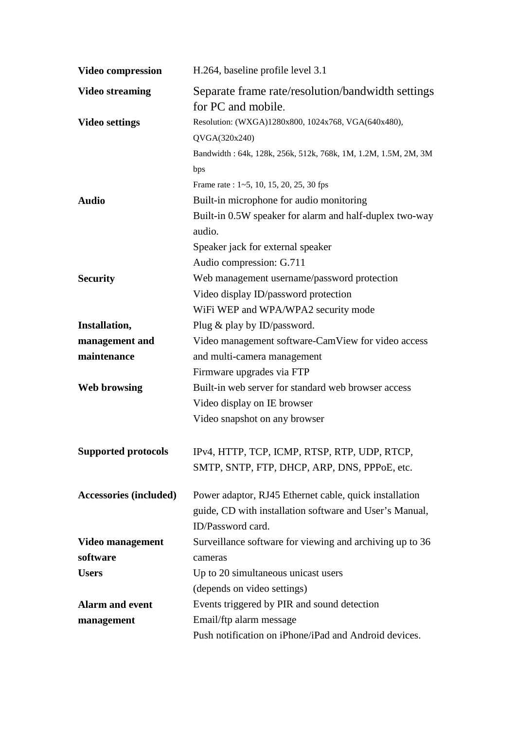| <b>Video compression</b>      | H.264, baseline profile level 3.1                                       |
|-------------------------------|-------------------------------------------------------------------------|
| <b>Video streaming</b>        | Separate frame rate/resolution/bandwidth settings<br>for PC and mobile. |
| <b>Video settings</b>         | Resolution: (WXGA)1280x800, 1024x768, VGA(640x480),                     |
|                               | QVGA(320x240)                                                           |
|                               | Bandwidth: 64k, 128k, 256k, 512k, 768k, 1M, 1.2M, 1.5M, 2M, 3M          |
|                               | bps                                                                     |
|                               | Frame rate: 1~5, 10, 15, 20, 25, 30 fps                                 |
| <b>Audio</b>                  | Built-in microphone for audio monitoring                                |
|                               | Built-in 0.5W speaker for alarm and half-duplex two-way                 |
|                               | audio.                                                                  |
|                               | Speaker jack for external speaker                                       |
|                               | Audio compression: G.711                                                |
| <b>Security</b>               | Web management username/password protection                             |
|                               | Video display ID/password protection                                    |
|                               | WiFi WEP and WPA/WPA2 security mode                                     |
| Installation,                 | Plug $\&$ play by ID/password.                                          |
| management and                | Video management software-CamView for video access                      |
| maintenance                   | and multi-camera management                                             |
|                               | Firmware upgrades via FTP                                               |
| <b>Web browsing</b>           | Built-in web server for standard web browser access                     |
|                               | Video display on IE browser                                             |
|                               | Video snapshot on any browser                                           |
|                               | Supported protocols IPv4, HTTP, TCP, ICMP, RTSP, RTP, UDP, RTCP,        |
|                               | SMTP, SNTP, FTP, DHCP, ARP, DNS, PPPoE, etc.                            |
| <b>Accessories (included)</b> | Power adaptor, RJ45 Ethernet cable, quick installation                  |
|                               | guide, CD with installation software and User's Manual,                 |
|                               | ID/Password card.                                                       |
| Video management              | Surveillance software for viewing and archiving up to 36                |
| software                      | cameras                                                                 |
| <b>Users</b>                  | Up to 20 simultaneous unicast users                                     |
|                               | (depends on video settings)                                             |
| <b>Alarm and event</b>        | Events triggered by PIR and sound detection                             |
| management                    | Email/ftp alarm message                                                 |
|                               | Push notification on iPhone/iPad and Android devices.                   |